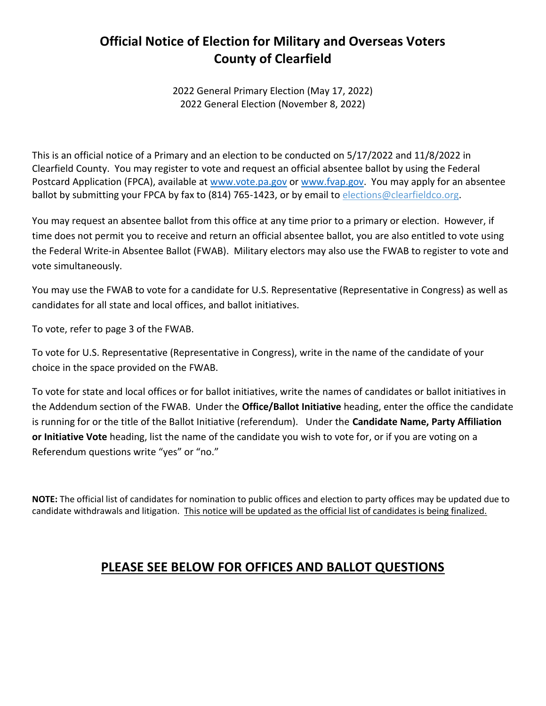#### **Official Notice of Election for Military and Overseas Voters County of Clearfield**

2022 General Primary Election (May 17, 2022) 2022 General Election (November 8, 2022)

This is an official notice of a Primary and an election to be conducted on 5/17/2022 and 11/8/2022 in Clearfield County. You may register to vote and request an official absentee ballot by using the Federal Postcard Application (FPCA), available at [www.vote.pa.g](http://www.vote.pa./)ov o[r www.fvap.gov.](http://www.fvap.gov/) You may apply for an absentee ballot by submitting your FPCA by fax to (814) 765-1423, or by email to elections@clearfieldco.org.

You may request an absentee ballot from this office at any time prior to a primary or election. However, if time does not permit you to receive and return an official absentee ballot, you are also entitled to vote using the Federal Write-in Absentee Ballot (FWAB). Military electors may also use the FWAB to register to vote and vote simultaneously.

You may use the FWAB to vote for a candidate for U.S. Representative (Representative in Congress) as well as candidates for all state and local offices, and ballot initiatives.

To vote, refer to page 3 of the FWAB.

To vote for U.S. Representative (Representative in Congress), write in the name of the candidate of your choice in the space provided on the FWAB.

To vote for state and local offices or for ballot initiatives, write the names of candidates or ballot initiatives in the Addendum section of the FWAB. Under the **Office/Ballot Initiative** heading, enter the office the candidate is running for or the title of the Ballot Initiative (referendum). Under the **Candidate Name, Party Affiliation or Initiative Vote** heading, list the name of the candidate you wish to vote for, or if you are voting on a Referendum questions write "yes" or "no."

**NOTE:** The official list of candidates for nomination to public offices and election to party offices may be updated due to candidate withdrawals and litigation. This notice will be updated as the official list of candidates is being finalized.

#### **PLEASE SEE BELOW FOR OFFICES AND BALLOT QUESTIONS**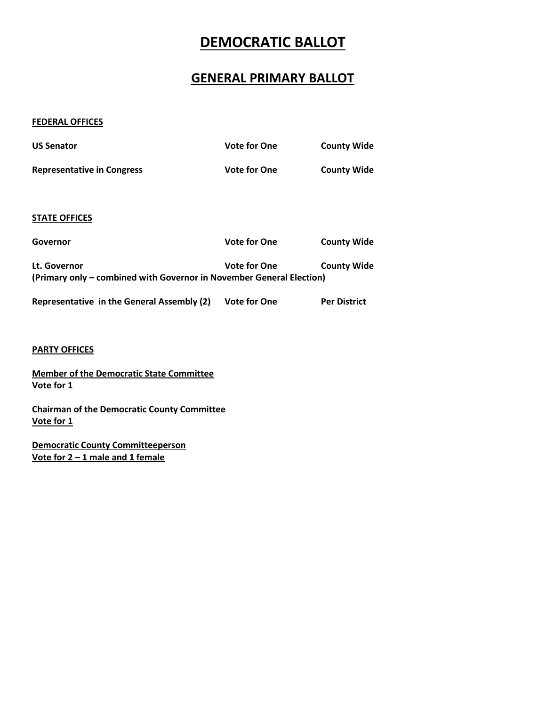### **DEMOCRATIC BALLOT**

#### **GENERAL PRIMARY BALLOT**

#### **FEDERAL OFFICES**

| <b>US Senator</b>                                                                    | <b>Vote for One</b> | <b>County Wide</b>  |
|--------------------------------------------------------------------------------------|---------------------|---------------------|
| <b>Representative in Congress</b>                                                    | <b>Vote for One</b> | <b>County Wide</b>  |
| <b>STATE OFFICES</b>                                                                 |                     |                     |
| Governor                                                                             | <b>Vote for One</b> | <b>County Wide</b>  |
| Lt. Governor<br>(Primary only – combined with Governor in November General Election) | <b>Vote for One</b> | <b>County Wide</b>  |
| Representative in the General Assembly (2)                                           | <b>Vote for One</b> | <b>Per District</b> |

#### **PARTY OFFICES**

**Member of the Democratic State Committee Vote for 1**

**Chairman of the Democratic County Committee Vote for 1**

**Democratic County Committeeperson Vote for 2 – 1 male and 1 female**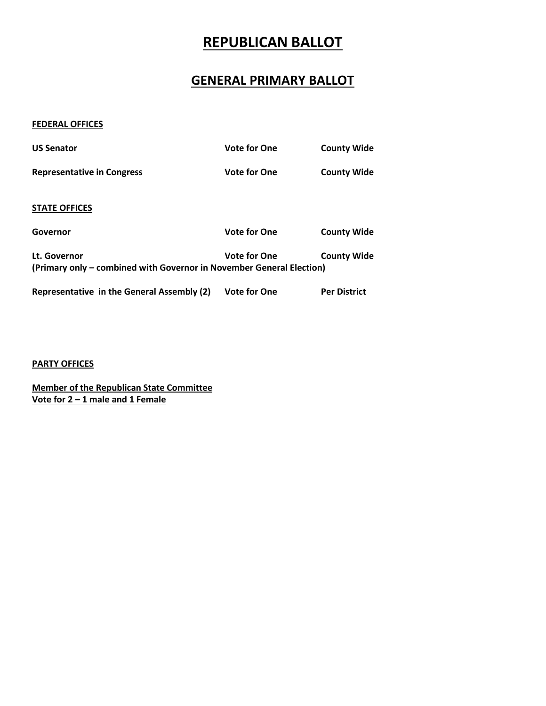### **REPUBLICAN BALLOT**

#### **GENERAL PRIMARY BALLOT**

#### **FEDERAL OFFICES**

| <b>US Senator</b>                                                                    | <b>Vote for One</b> | <b>County Wide</b>  |
|--------------------------------------------------------------------------------------|---------------------|---------------------|
| <b>Representative in Congress</b>                                                    | <b>Vote for One</b> | <b>County Wide</b>  |
| <b>STATE OFFICES</b>                                                                 |                     |                     |
| Governor                                                                             | <b>Vote for One</b> | <b>County Wide</b>  |
| Lt. Governor<br>(Primary only – combined with Governor in November General Election) | <b>Vote for One</b> | <b>County Wide</b>  |
| Representative in the General Assembly (2)                                           | <b>Vote for One</b> | <b>Per District</b> |

**PARTY OFFICES**

**Member of the Republican State Committee Vote for 2 – 1 male and 1 Female**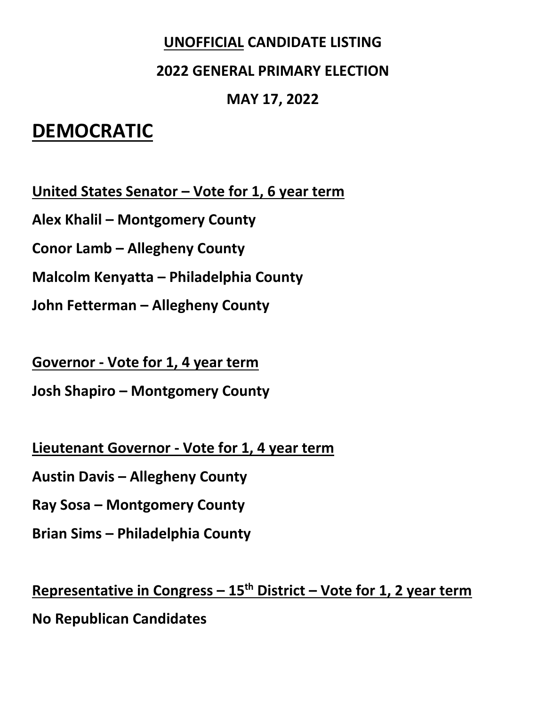#### **UNOFFICIAL CANDIDATE LISTING**

#### **2022 GENERAL PRIMARY ELECTION**

#### **MAY 17, 2022**

## **DEMOCRATIC**

**United States Senator – Vote for 1, 6 year term**

**Alex Khalil – Montgomery County**

**Conor Lamb – Allegheny County**

**Malcolm Kenyatta – Philadelphia County**

**John Fetterman – Allegheny County**

**Governor - Vote for 1, 4 year term**

**Josh Shapiro – Montgomery County**

**Lieutenant Governor - Vote for 1, 4 year term**

**Austin Davis – Allegheny County**

**Ray Sosa – Montgomery County**

**Brian Sims – Philadelphia County**

**Representative in Congress – 15th District – Vote for 1, 2 year term**

**No Republican Candidates**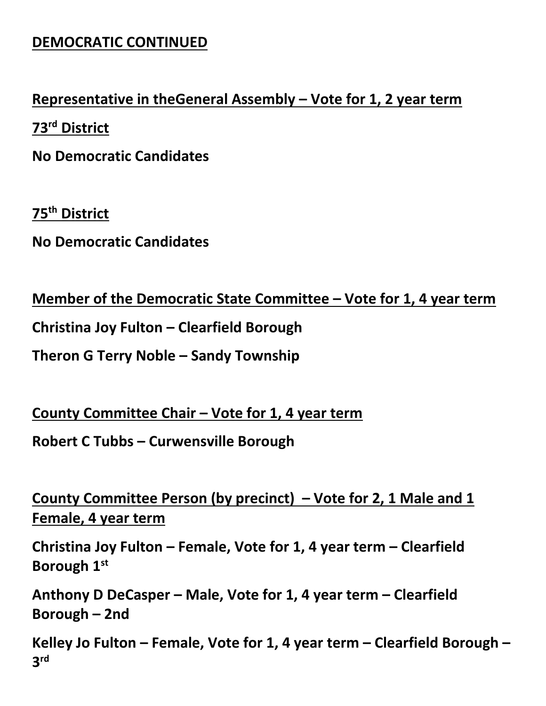### **DEMOCRATIC CONTINUED**

#### **Representative in theGeneral Assembly – Vote for 1, 2 year term**

**73rd District**

**No Democratic Candidates**

**75th District**

**No Democratic Candidates**

**Member of the Democratic State Committee – Vote for 1, 4 year term**

**Christina Joy Fulton – Clearfield Borough**

**Theron G Terry Noble – Sandy Township**

**County Committee Chair – Vote for 1, 4 year term**

**Robert C Tubbs – Curwensville Borough**

**County Committee Person (by precinct) – Vote for 2, 1 Male and 1 Female, 4 year term**

**Christina Joy Fulton – Female, Vote for 1, 4 year term – Clearfield Borough 1st**

**Anthony D DeCasper – Male, Vote for 1, 4 year term – Clearfield Borough – 2nd**

**Kelley Jo Fulton – Female, Vote for 1, 4 year term – Clearfield Borough – 3 rd**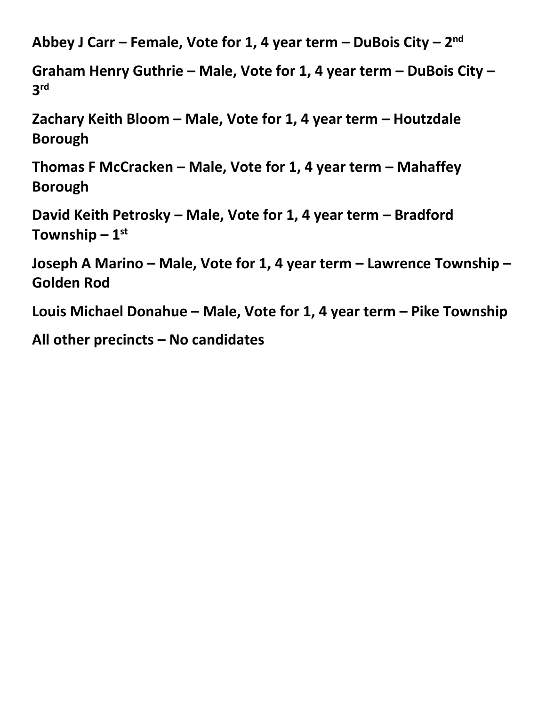**Abbey J Carr – Female, Vote for 1, 4 year term – DuBois City – 2 nd**

**Graham Henry Guthrie – Male, Vote for 1, 4 year term – DuBois City – 3 rd**

**Zachary Keith Bloom – Male, Vote for 1, 4 year term – Houtzdale Borough**

**Thomas F McCracken – Male, Vote for 1, 4 year term – Mahaffey Borough**

**David Keith Petrosky – Male, Vote for 1, 4 year term – Bradford Township – 1 st**

**Joseph A Marino – Male, Vote for 1, 4 year term – Lawrence Township – Golden Rod**

**Louis Michael Donahue – Male, Vote for 1, 4 year term – Pike Township**

**All other precincts – No candidates**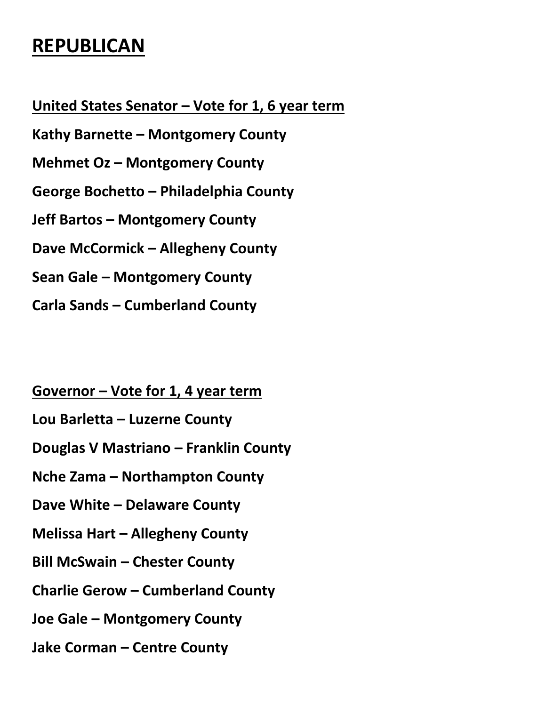# **REPUBLICAN**

**United States Senator – Vote for 1, 6 year term**

**Kathy Barnette – Montgomery County**

**Mehmet Oz – Montgomery County**

**George Bochetto – Philadelphia County**

**Jeff Bartos – Montgomery County**

**Dave McCormick – Allegheny County**

**Sean Gale – Montgomery County**

**Carla Sands – Cumberland County**

**Governor – Vote for 1, 4 year term**

**Lou Barletta – Luzerne County**

**Douglas V Mastriano – Franklin County**

**Nche Zama – Northampton County**

**Dave White – Delaware County**

**Melissa Hart – Allegheny County**

**Bill McSwain – Chester County**

**Charlie Gerow – Cumberland County**

**Joe Gale – Montgomery County**

**Jake Corman – Centre County**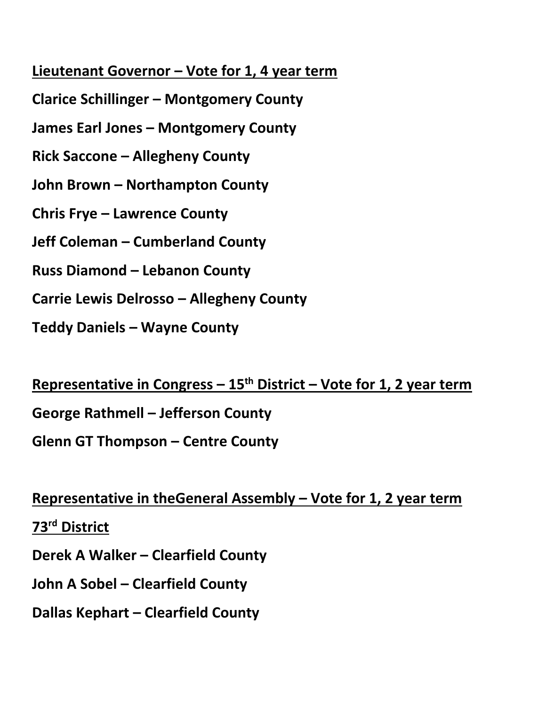#### **Lieutenant Governor – Vote for 1, 4 year term**

- **Clarice Schillinger – Montgomery County**
- **James Earl Jones – Montgomery County**
- **Rick Saccone – Allegheny County**
- **John Brown – Northampton County**
- **Chris Frye – Lawrence County**
- **Jeff Coleman – Cumberland County**
- **Russ Diamond – Lebanon County**
- **Carrie Lewis Delrosso – Allegheny County**
- **Teddy Daniels – Wayne County**

**Representative in Congress – 15th District – Vote for 1, 2 year term**

**George Rathmell – Jefferson County**

**Glenn GT Thompson – Centre County**

**Representative in theGeneral Assembly – Vote for 1, 2 year term**

**73rd District**

**Derek A Walker – Clearfield County**

**John A Sobel – Clearfield County**

**Dallas Kephart – Clearfield County**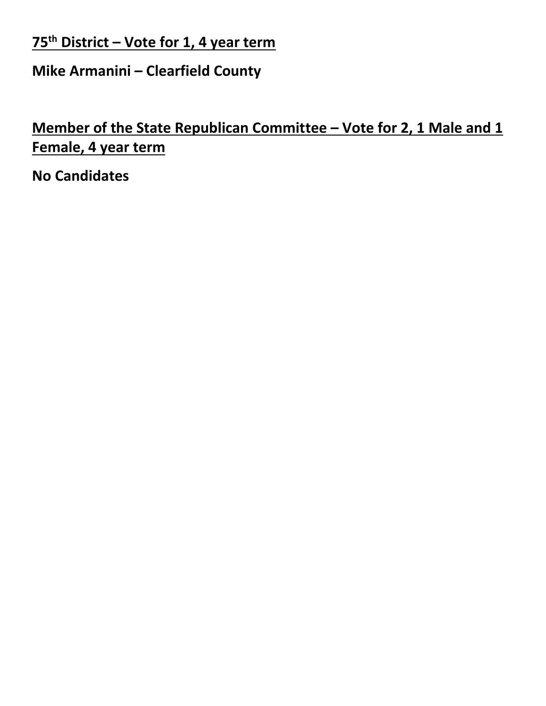**75th District – Vote for 1, 4 year term**

**Mike Armanini – Clearfield County**

**Member of the State Republican Committee – Vote for 2, 1 Male and 1 Female, 4 year term**

**No Candidates**